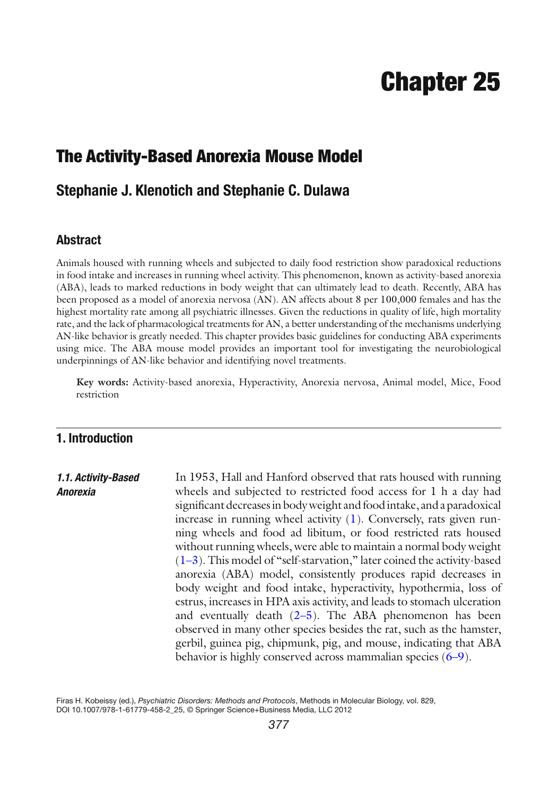# **Chapter 25**

# **The Activity-Based Anorexia Mouse Model**

# **Stephanie J. Klenotich and Stephanie C. Dulawa**

#### **Abstract**

Animals housed with running wheels and subjected to daily food restriction show paradoxical reductions in food intake and increases in running wheel activity. This phenomenon, known as activity-based anorexia (ABA), leads to marked reductions in body weight that can ultimately lead to death. Recently, ABA has been proposed as a model of anorexia nervosa (AN). AN affects about 8 per 100,000 females and has the highest mortality rate among all psychiatric illnesses. Given the reductions in quality of life, high mortality rate, and the lack of pharmacological treatments for AN, a better understanding of the mechanisms underlying AN-like behavior is greatly needed. This chapter provides basic guidelines for conducting ABA experiments using mice. The ABA mouse model provides an important tool for investigating the neurobiological underpinnings of AN-like behavior and identifying novel treatments.

Key words: Activity-based anorexia, Hyperactivity, Anorexia nervosa, Animal model, Mice, Food restriction

## **1. Introduction**

#### In 1953, Hall and Hanford observed that rats housed with running wheels and subjected to restricted food access for 1 h a day had significant decreases in body weight and food intake, and a paradoxical increase in running wheel activity  $(1)$ . Conversely, rats given running wheels and food ad libitum, or food restricted rats housed without running wheels, were able to maintain a normal body weight  $(1–3)$ . This model of "self-starvation," later coined the activity-based anorexia (ABA) model, consistently produces rapid decreases in body weight and food intake, hyperactivity, hypothermia, loss of estrus, increases in HPA axis activity, and leads to stomach ulceration and eventually death  $(2-5)$ . The ABA phenomenon has been observed in many other species besides the rat, such as the hamster, gerbil, guinea pig, chipmunk, pig, and mouse, indicating that ABA behavior is highly conserved across mammalian species (6–[9](#page-15-0)).  *1.1. Activity-Based Anorexia*

Firas H. Kobeissy (ed.), *Psychiatric Disorders: Methods and Protocols*, Methods in Molecular Biology, vol. 829, DOI 10.1007/978-1-61779-458-2\_25, © Springer Science+Business Media, LLC 2012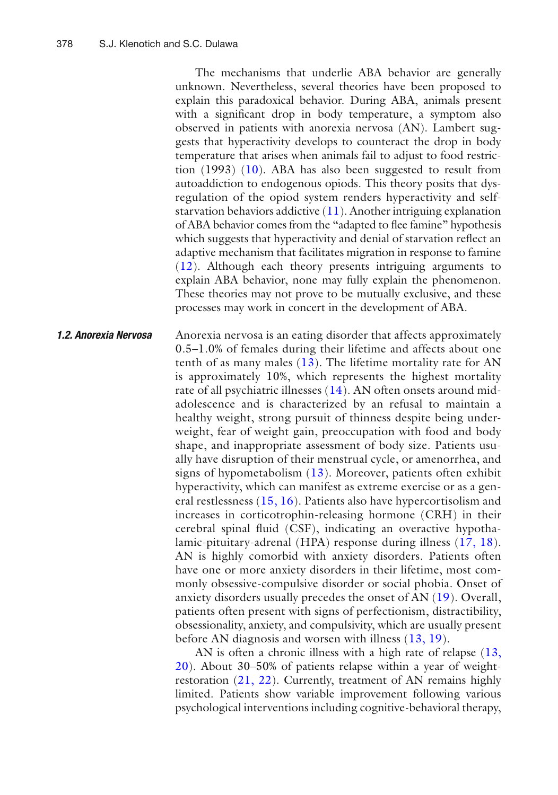The mechanisms that underlie ABA behavior are generally unknown. Nevertheless, several theories have been proposed to explain this paradoxical behavior. During ABA, animals present with a significant drop in body temperature, a symptom also observed in patients with anorexia nervosa (AN). Lambert suggests that hyperactivity develops to counteract the drop in body temperature that arises when animals fail to adjust to food restriction  $(1993)$   $(10)$ . ABA has also been suggested to result from autoaddiction to endogenous opiods. This theory posits that dysregulation of the opiod system renders hyperactivity and selfstarvation behaviors addictive  $(11)$ . Another intriguing explanation of ABA behavior comes from the "adapted to flee famine" hypothesis which suggests that hyperactivity and denial of starvation reflect an adaptive mechanism that facilitates migration in response to famine  $(12)$ . Although each theory presents intriguing arguments to explain ABA behavior, none may fully explain the phenomenon. These theories may not prove to be mutually exclusive, and these processes may work in concert in the development of ABA.

Anorexia nervosa is an eating disorder that affects approximately 0.5–1.0% of females during their lifetime and affects about one tenth of as many males  $(13)$ . The lifetime mortality rate for AN is approximately 10%, which represents the highest mortality rate of all psychiatric illnesses (14). AN often onsets around midadolescence and is characterized by an refusal to maintain a healthy weight, strong pursuit of thinness despite being underweight, fear of weight gain, preoccupation with food and body shape, and inappropriate assessment of body size. Patients usually have disruption of their menstrual cycle, or amenorrhea, and signs of hypometabolism  $(13)$ . Moreover, patients often exhibit hyperactivity, which can manifest as extreme exercise or as a general restlessness (15, 16). Patients also have hypercortisolism and increases in corticotrophin-releasing hormone (CRH) in their cerebral spinal fluid (CSF), indicating an overactive hypothalamic-pituitary-adrenal (HPA) response during illness (17, 18). AN is highly comorbid with anxiety disorders. Patients often have one or more anxiety disorders in their lifetime, most commonly obsessive-compulsive disorder or social phobia. Onset of anxiety disorders usually precedes the onset of AN (19). Overall, patients often present with signs of perfectionism, distractibility, obsessionality, anxiety, and compulsivity, which are usually present before AN diagnosis and worsen with illness  $(13, 19)$ .  *1.2. Anorexia Nervosa*

> AN is often a chronic illness with a high rate of relapse  $(13, 12)$  $20$ ). About 30–50% of patients relapse within a year of weightrestoration  $(21, 22)$ . Currently, treatment of AN remains highly limited. Patients show variable improvement following various psychological interventions including cognitive-behavioral therapy,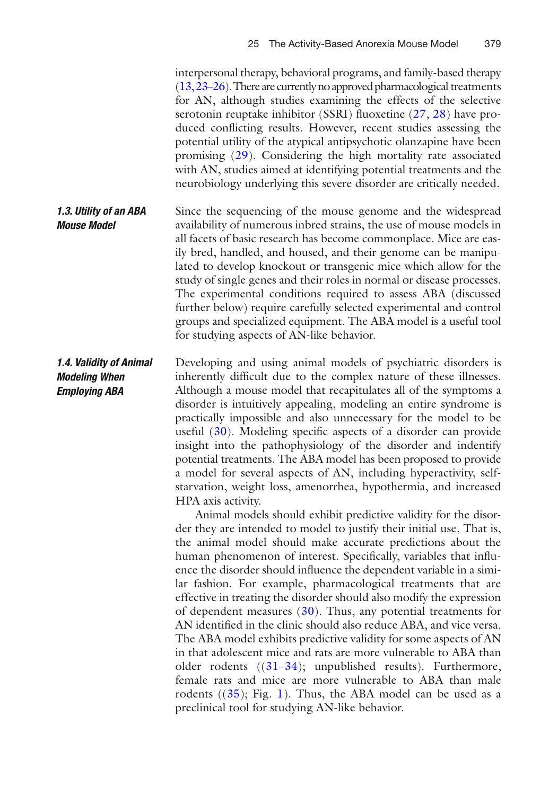|                                                                         | interpersonal therapy, behavioral programs, and family-based therapy<br>$(13, 23-26)$ . There are currently no approved pharmacological treatments<br>for AN, although studies examining the effects of the selective<br>serotonin reuptake inhibitor (SSRI) fluoxetine (27, 28) have pro-<br>duced conflicting results. However, recent studies assessing the<br>potential utility of the atypical antipsychotic olanzapine have been<br>promising $(29)$ . Considering the high mortality rate associated<br>with AN, studies aimed at identifying potential treatments and the<br>neurobiology underlying this severe disorder are critically needed.                                                                                                                                                                                                                                                                                                                                                                                                                                                                                                                                                                                                                                                                                                                                                                                                                                                                                                                                                                                        |
|-------------------------------------------------------------------------|-------------------------------------------------------------------------------------------------------------------------------------------------------------------------------------------------------------------------------------------------------------------------------------------------------------------------------------------------------------------------------------------------------------------------------------------------------------------------------------------------------------------------------------------------------------------------------------------------------------------------------------------------------------------------------------------------------------------------------------------------------------------------------------------------------------------------------------------------------------------------------------------------------------------------------------------------------------------------------------------------------------------------------------------------------------------------------------------------------------------------------------------------------------------------------------------------------------------------------------------------------------------------------------------------------------------------------------------------------------------------------------------------------------------------------------------------------------------------------------------------------------------------------------------------------------------------------------------------------------------------------------------------|
| 1.3. Utility of an ABA<br><b>Mouse Model</b>                            | Since the sequencing of the mouse genome and the widespread<br>availability of numerous inbred strains, the use of mouse models in<br>all facets of basic research has become commonplace. Mice are eas-<br>ily bred, handled, and housed, and their genome can be manipu-<br>lated to develop knockout or transgenic mice which allow for the<br>study of single genes and their roles in normal or disease processes.<br>The experimental conditions required to assess ABA (discussed<br>further below) require carefully selected experimental and control<br>groups and specialized equipment. The ABA model is a useful tool<br>for studying aspects of AN-like behavior.                                                                                                                                                                                                                                                                                                                                                                                                                                                                                                                                                                                                                                                                                                                                                                                                                                                                                                                                                                 |
| 1.4. Validity of Animal<br><b>Modeling When</b><br><b>Employing ABA</b> | Developing and using animal models of psychiatric disorders is<br>inherently difficult due to the complex nature of these illnesses.<br>Although a mouse model that recapitulates all of the symptoms a<br>disorder is intuitively appealing, modeling an entire syndrome is<br>practically impossible and also unnecessary for the model to be<br>useful $(30)$ . Modeling specific aspects of a disorder can provide<br>insight into the pathophysiology of the disorder and indentify<br>potential treatments. The ABA model has been proposed to provide<br>a model for several aspects of AN, including hyperactivity, self-<br>starvation, weight loss, amenorrhea, hypothermia, and increased<br>HPA axis activity.<br>Animal models should exhibit predictive validity for the disor-<br>der they are intended to model to justify their initial use. That is,<br>the animal model should make accurate predictions about the<br>human phenomenon of interest. Specifically, variables that influ-<br>ence the disorder should influence the dependent variable in a simi-<br>lar fashion. For example, pharmacological treatments that are<br>effective in treating the disorder should also modify the expression<br>of dependent measures $(30)$ . Thus, any potential treatments for<br>AN identified in the clinic should also reduce ABA, and vice versa.<br>The ABA model exhibits predictive validity for some aspects of AN<br>in that adolescent mice and rats are more vulnerable to ABA than<br>older rodents $((31-34))$ ; unpublished results). Furthermore,<br>female rats and mice are more vulnerable to ABA than male |

rodents  $((35);$  Fig. [1\)](#page-3-0). Thus, the ABA model can be used as a preclinical tool for studying AN-like behavior.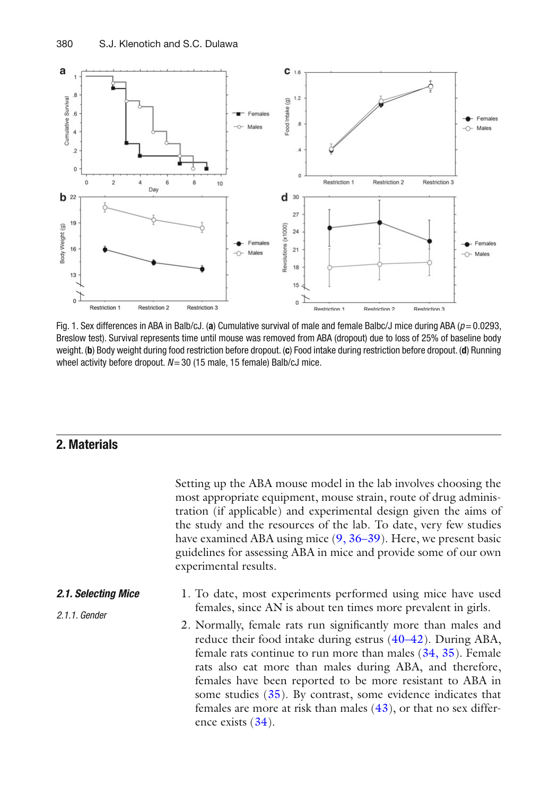<span id="page-3-0"></span>

Fig. 1. Sex differences in ABA in Balb/cJ. (a) Cumulative survival of male and female Balbc/J mice during ABA ( $p = 0.0293$ , Breslow test). Survival represents time until mouse was removed from ABA (dropout) due to loss of 25% of baseline body weight. (**b**) Body weight during food restriction before dropout. (**c**) Food intake during restriction before dropout. (**d**) Running wheel activity before dropout.  $N=30$  (15 male, 15 female) Balb/cJ mice.

## **2. Materials**

 *2.1.1. Gender*

Setting up the ABA mouse model in the lab involves choosing the most appropriate equipment, mouse strain, route of drug administration (if applicable) and experimental design given the aims of the study and the resources of the lab. To date, very few studies have examined ABA using mice  $(9, 36-39)$ . Here, we present basic guidelines for assessing ABA in mice and provide some of our own experimental results.

- 1. To date, most experiments performed using mice have used females, since AN is about ten times more prevalent in girls.  *2.1. Selecting Mice*
	- 2. Normally, female rats run significantly more than males and reduce their food intake during estrus  $(40-42)$ . During ABA, female rats continue to run more than males  $(34, 35)$ . Female rats also eat more than males during ABA, and therefore, females have been reported to be more resistant to ABA in some studies  $(35)$ . By contrast, some evidence indicates that females are more at risk than males  $(43)$ , or that no sex difference exists  $(34)$ .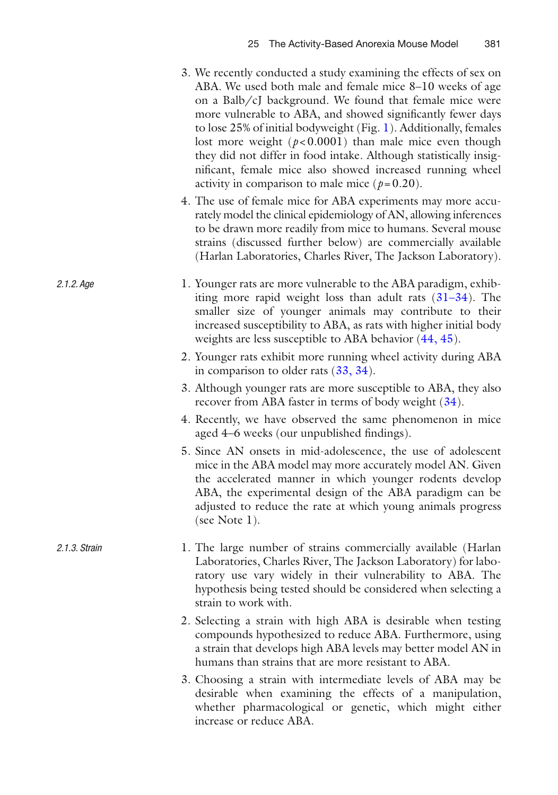- 3. We recently conducted a study examining the effects of sex on ABA. We used both male and female mice 8–10 weeks of age on a Balb/cJ background. We found that female mice were more vulnerable to ABA, and showed significantly fewer days to lose 25% of initial bodyweight (Fig. [1](#page-3-0)). Additionally, females lost more weight  $(p<0.0001)$  than male mice even though they did not differ in food intake. Although statistically insignificant, female mice also showed increased running wheel activity in comparison to male mice  $(p=0.20)$ .
- 4. The use of female mice for ABA experiments may more accurately model the clinical epidemiology of AN, allowing inferences to be drawn more readily from mice to humans. Several mouse strains (discussed further below) are commercially available (Harlan Laboratories, Charles River, The Jackson Laboratory).
- 1. Younger rats are more vulnerable to the ABA paradigm, exhibiting more rapid weight loss than adult rats  $(31-34)$ . The smaller size of younger animals may contribute to their increased susceptibility to ABA, as rats with higher initial body weights are less susceptible to ABA behavior  $(44, 45)$ .

 *2.1.2. Age*

 *2.1.3. Strain*

- 2. Younger rats exhibit more running wheel activity during ABA in comparison to older rats  $(33, 34)$ .
- 3. Although younger rats are more susceptible to ABA, they also recover from ABA faster in terms of body weight (34).
- 4. Recently, we have observed the same phenomenon in mice aged 4–6 weeks (our unpublished findings).
- 5. Since AN onsets in mid-adolescence, the use of adolescent mice in the ABA model may more accurately model AN. Given the accelerated manner in which younger rodents develop ABA, the experimental design of the ABA paradigm can be adjusted to reduce the rate at which young animals progress (see Note 1).
- 1. The large number of strains commercially available (Harlan Laboratories, Charles River, The Jackson Laboratory) for laboratory use vary widely in their vulnerability to ABA. The hypothesis being tested should be considered when selecting a strain to work with.
	- 2. Selecting a strain with high ABA is desirable when testing compounds hypothesized to reduce ABA. Furthermore, using a strain that develops high ABA levels may better model AN in humans than strains that are more resistant to ABA.
	- 3. Choosing a strain with intermediate levels of ABA may be desirable when examining the effects of a manipulation, whether pharmacological or genetic, which might either increase or reduce ABA.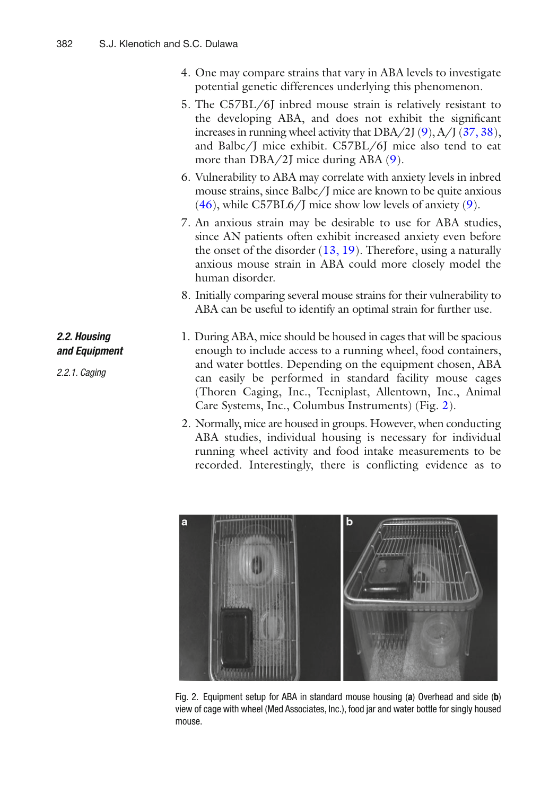- <span id="page-5-0"></span> 4. One may compare strains that vary in ABA levels to investigate potential genetic differences underlying this phenomenon.
- 5. The C57BL/6J inbred mouse strain is relatively resistant to the developing ABA, and does not exhibit the significant increases in running wheel activity that  $DBA/2J(9)$ ,  $A/J(37, 38)$ , and Balbc/J mice exhibit. C57BL/6J mice also tend to eat more than  $DBA/2J$  mice during ABA  $(9)$ .
- 6. Vulnerability to ABA may correlate with anxiety levels in inbred mouse strains, since Balbc/J mice are known to be quite anxious  $(46)$ , while C57BL6/J mice show low levels of anxiety  $(9)$ .
- 7. An anxious strain may be desirable to use for ABA studies, since AN patients often exhibit increased anxiety even before the onset of the disorder  $(13, 19)$ . Therefore, using a naturally anxious mouse strain in ABA could more closely model the human disorder.
- 8. Initially comparing several mouse strains for their vulnerability to ABA can be useful to identify an optimal strain for further use.
- 1. During ABA, mice should be housed in cages that will be spacious enough to include access to a running wheel, food containers, and water bottles. Depending on the equipment chosen, ABA can easily be performed in standard facility mouse cages (Thoren Caging, Inc., Tecniplast, Allentown, Inc., Animal Care Systems, Inc., Columbus Instruments) (Fig. 2).
	- 2. Normally, mice are housed in groups. However, when conducting ABA studies, individual housing is necessary for individual running wheel activity and food intake measurements to be recorded. Interestingly, there is conflicting evidence as to



Fig. 2. Equipment setup for ABA in standard mouse housing (a) Overhead and side (b) view of cage with wheel (Med Associates, Inc.), food jar and water bottle for singly housed mouse.

# *2.2. Housing and Equipment*

 *2.2.1. Caging*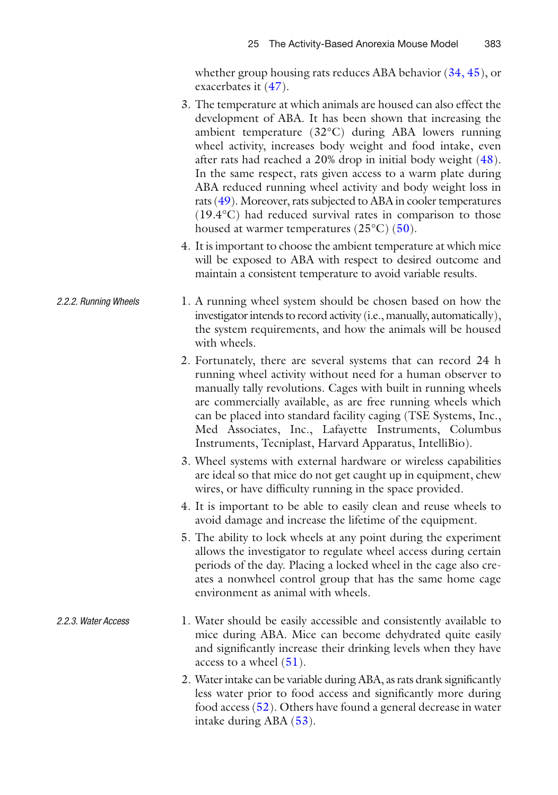whether group housing rats reduces ABA behavior  $(34, 45)$  $(34, 45)$ , or exacerbates it  $(47)$ .

- 3. The temperature at which animals are housed can also effect the development of ABA. It has been shown that increasing the ambient temperature (32°C) during ABA lowers running wheel activity, increases body weight and food intake, even after rats had reached a  $20\%$  drop in initial body weight  $(48)$ . In the same respect, rats given access to a warm plate during ABA reduced running wheel activity and body weight loss in rats (49). Moreover, rats subjected to ABA in cooler temperatures (19.4°C) had reduced survival rates in comparison to those housed at warmer temperatures  $(25^{\circ}C)$  (50).
- 4. It is important to choose the ambient temperature at which mice will be exposed to ABA with respect to desired outcome and maintain a consistent temperature to avoid variable results.
- 1. A running wheel system should be chosen based on how the investigator intends to record activity (i.e., manually, automatically), the system requirements, and how the animals will be housed with wheels.  *2.2.2. Running Wheels*
	- 2. Fortunately, there are several systems that can record 24 h running wheel activity without need for a human observer to manually tally revolutions. Cages with built in running wheels are commercially available, as are free running wheels which can be placed into standard facility caging (TSE Systems, Inc., Med Associates, Inc., Lafayette Instruments, Columbus Instruments, Tecniplast, Harvard Apparatus, IntelliBio).
	- 3. Wheel systems with external hardware or wireless capabilities are ideal so that mice do not get caught up in equipment, chew wires, or have difficulty running in the space provided.
	- 4. It is important to be able to easily clean and reuse wheels to avoid damage and increase the lifetime of the equipment.
	- 5. The ability to lock wheels at any point during the experiment allows the investigator to regulate wheel access during certain periods of the day. Placing a locked wheel in the cage also creates a nonwheel control group that has the same home cage environment as animal with wheels.
- 1. Water should be easily accessible and consistently available to mice during ABA. Mice can become dehydrated quite easily and significantly increase their drinking levels when they have access to a wheel  $(51)$ .  *2.2.3. Water Access*
	- 2. Water intake can be variable during ABA, as rats drank significantly less water prior to food access and significantly more during food access [\( 52\)](#page-16-0) . Others have found a general decrease in water intake during  $ABA(53)$ .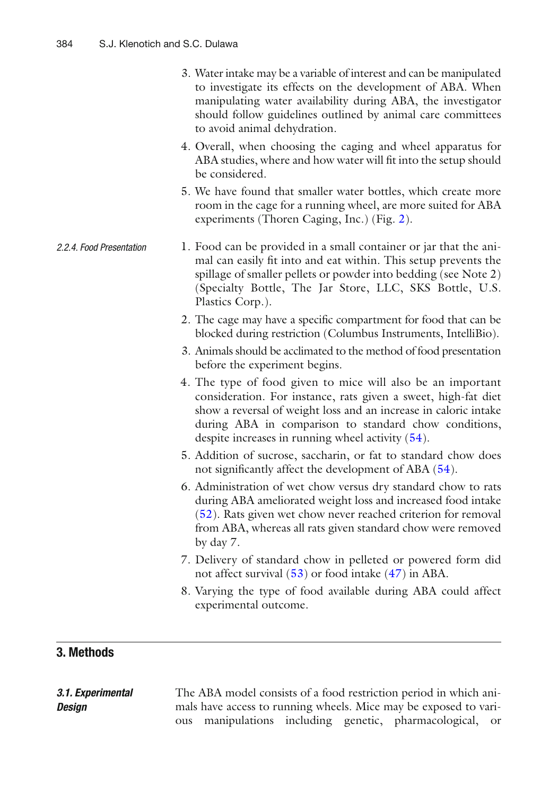- 3. Water intake may be a variable of interest and can be manipulated to investigate its effects on the development of ABA. When manipulating water availability during ABA, the investigator should follow guidelines outlined by animal care committees to avoid animal dehydration.
- 4. Overall, when choosing the caging and wheel apparatus for ABA studies, where and how water will fit into the setup should be considered.
- 5. We have found that smaller water bottles, which create more room in the cage for a running wheel, are more suited for ABA experiments (Thoren Caging, Inc.) (Fig. [2\)](#page-5-0).
- 1. Food can be provided in a small container or jar that the animal can easily fit into and eat within. This setup prevents the spillage of smaller pellets or powder into bedding (see Note 2) (Specialty Bottle, The Jar Store, LLC, SKS Bottle, U.S. Plastics Corp.).  *2.2.4. Food Presentation*
	- 2. The cage may have a specific compartment for food that can be blocked during restriction (Columbus Instruments, IntelliBio).
	- 3. Animals should be acclimated to the method of food presentation before the experiment begins.
	- 4. The type of food given to mice will also be an important consideration. For instance, rats given a sweet, high-fat diet show a reversal of weight loss and an increase in caloric intake during ABA in comparison to standard chow conditions, despite increases in running wheel activity  $(54)$ .
	- 5. Addition of sucrose, saccharin, or fat to standard chow does not significantly affect the development of ABA  $(54)$ .
	- 6. Administration of wet chow versus dry standard chow to rats during ABA ameliorated weight loss and increased food intake ( [52](#page-16-0)) . Rats given wet chow never reached criterion for removal from ABA, whereas all rats given standard chow were removed by day 7.
	- 7. Delivery of standard chow in pelleted or powered form did not affect survival  $(53)$  or food intake  $(47)$  in ABA.
	- 8. Varying the type of food available during ABA could affect experimental outcome.

# **3. Methods**

| 3.1. Experimental |  |  | The ABA model consists of a food restriction period in which ani- |  |
|-------------------|--|--|-------------------------------------------------------------------|--|
| Design            |  |  | mals have access to running wheels. Mice may be exposed to vari-  |  |
|                   |  |  | ous manipulations including genetic, pharmacological, or          |  |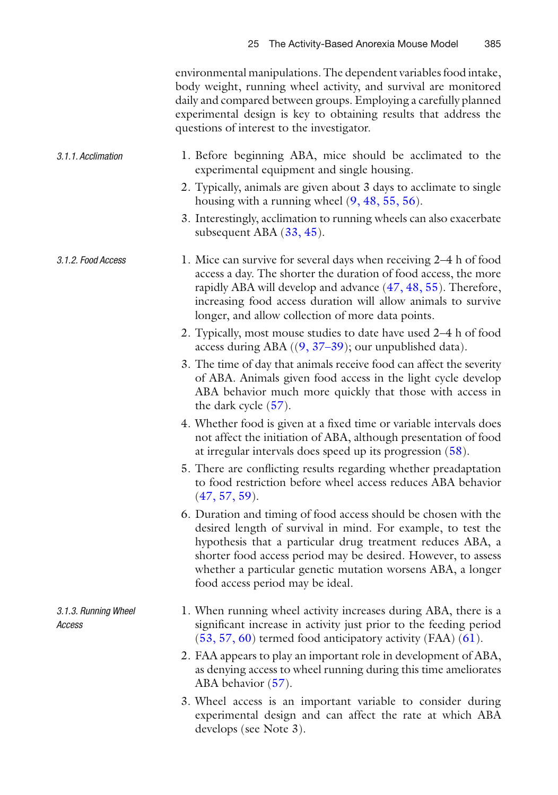| environmental manipulations. The dependent variables food intake, |
|-------------------------------------------------------------------|
| body weight, running wheel activity, and survival are monitored   |
| daily and compared between groups. Employing a carefully planned  |
| experimental design is key to obtaining results that address the  |
| questions of interest to the investigator.                        |

| 3.1.1. Acclimation |  |                                            |  |  | 1. Before beginning ABA, mice should be acclimated to the |  |
|--------------------|--|--------------------------------------------|--|--|-----------------------------------------------------------|--|
|                    |  | experimental equipment and single housing. |  |  |                                                           |  |

- 2. Typically, animals are given about 3 days to acclimate to single housing with a running wheel  $(9, 48, 55, 56)$  $(9, 48, 55, 56)$ .
- 3. Interestingly, acclimation to running wheels can also exacerbate subsequent ABA  $(33, 45)$  $(33, 45)$  $(33, 45)$ .
- 1. Mice can survive for several days when receiving 2–4 h of food access a day. The shorter the duration of food access, the more rapidly ABA will develop and advance (47, 48, 55). Therefore, increasing food access duration will allow animals to survive longer, and allow collection of more data points.  *3.1.2. Food Access*
	- 2. Typically, most mouse studies to date have used 2–4 h of food access during ABA  $((9, 37-39))$ ; our unpublished data).
	- 3. The time of day that animals receive food can affect the severity of ABA. Animals given food access in the light cycle develop ABA behavior much more quickly that those with access in the dark cycle  $(57)$ .
	- 4. Whether food is given at a fixed time or variable intervals does not affect the initiation of ABA, although presentation of food at irregular intervals does speed up its progression (58).
	- 5. There are conflicting results regarding whether preadaptation to food restriction before wheel access reduces ABA behavior  $(47, 57, 59)$ .
	- 6. Duration and timing of food access should be chosen with the desired length of survival in mind. For example, to test the hypothesis that a particular drug treatment reduces ABA, a shorter food access period may be desired. However, to assess whether a particular genetic mutation worsens ABA, a longer food access period may be ideal.
	- 1. When running wheel activity increases during ABA, there is a significant increase in activity just prior to the feeding period  $(53, 57, 60)$  termed food anticipatory activity (FAA)  $(61)$ .
	- 2. FAA appears to play an important role in development of ABA, as denying access to wheel running during this time ameliorates ABA behavior  $(57)$ .
	- 3. Wheel access is an important variable to consider during experimental design and can affect the rate at which ABA develops (see Note 3).

 *3.1.3. Running Wheel Access*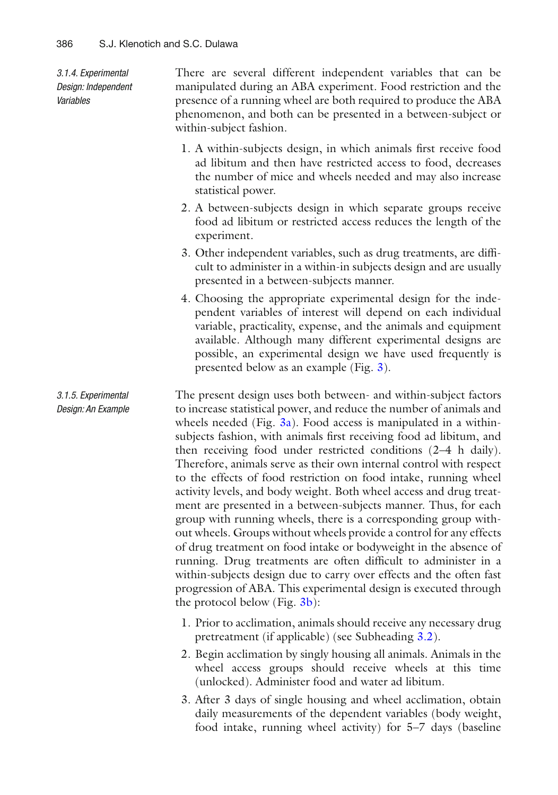*3.1.4. Experimental Design: Independent Variables*

There are several different independent variables that can be manipulated during an ABA experiment. Food restriction and the presence of a running wheel are both required to produce the ABA phenomenon, and both can be presented in a between-subject or within-subject fashion.

- 1. A within-subjects design, in which animals first receive food ad libitum and then have restricted access to food, decreases the number of mice and wheels needed and may also increase statistical power.
- 2. A between-subjects design in which separate groups receive food ad libitum or restricted access reduces the length of the experiment.
- 3. Other independent variables, such as drug treatments, are diffi cult to administer in a within-in subjects design and are usually presented in a between-subjects manner.
- 4. Choosing the appropriate experimental design for the independent variables of interest will depend on each individual variable, practicality, expense, and the animals and equipment available. Although many different experimental designs are possible, an experimental design we have used frequently is presented below as an example (Fig. [3\)](#page-10-0).

The present design uses both between- and within-subject factors to increase statistical power, and reduce the number of animals and wheels needed (Fig.  $3a$ ). Food access is manipulated in a withinsubjects fashion, with animals first receiving food ad libitum, and then receiving food under restricted conditions (2–4 h daily). Therefore, animals serve as their own internal control with respect to the effects of food restriction on food intake, running wheel activity levels, and body weight. Both wheel access and drug treatment are presented in a between-subjects manner. Thus, for each group with running wheels, there is a corresponding group without wheels. Groups without wheels provide a control for any effects of drug treatment on food intake or bodyweight in the absence of running. Drug treatments are often difficult to administer in a within-subjects design due to carry over effects and the often fast progression of ABA. This experimental design is executed through the protocol below (Fig. [3b\)](#page-10-0):  *3.1.5. Experimental Design: An Example*

- 1. Prior to acclimation, animals should receive any necessary drug pretreatment (if applicable) (see Subheading [3.2\)](#page-11-0).
- 2. Begin acclimation by singly housing all animals. Animals in the wheel access groups should receive wheels at this time (unlocked). Administer food and water ad libitum.
- 3. After 3 days of single housing and wheel acclimation, obtain daily measurements of the dependent variables (body weight, food intake, running wheel activity) for 5–7 days (baseline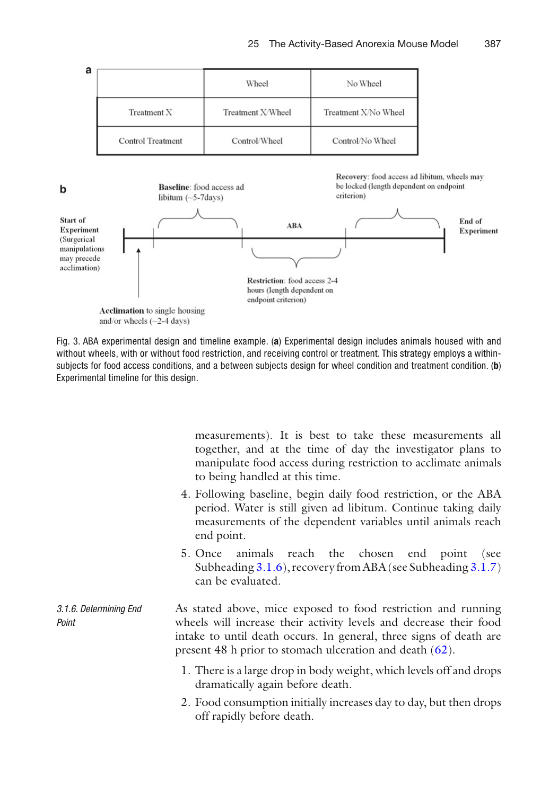<span id="page-10-0"></span>

| а                        | Wheel             | No Wheel             |
|--------------------------|-------------------|----------------------|
| Treatment X              | Treatment X/Wheel | Treatment X/No Wheel |
| <b>Control</b> Treatment | Control/Wheel     | Control/No Wheel     |



 Fig. 3. ABA experimental design and timeline example. ( **a** ) Experimental design includes animals housed with and without wheels, with or without food restriction, and receiving control or treatment. This strategy employs a withinsubjects for food access conditions, and a between subjects design for wheel condition and treatment condition. (**b**) Experimental timeline for this design.

measurements). It is best to take these measurements all together, and at the time of day the investigator plans to manipulate food access during restriction to acclimate animals to being handled at this time.

- 4. Following baseline, begin daily food restriction, or the ABA period. Water is still given ad libitum. Continue taking daily measurements of the dependent variables until animals reach end point.
- 5. Once animals reach the chosen end point (see Subheading 3.1.6), recovery from ABA (see Subheading [3.1.7\)](#page-11-0) can be evaluated.
- As stated above, mice exposed to food restriction and running wheels will increase their activity levels and decrease their food intake to until death occurs. In general, three signs of death are present 48 h prior to stomach ulceration and death  $(62)$ .  *3.1.6. Determining End Point*
	- 1. There is a large drop in body weight, which levels off and drops dramatically again before death.
	- 2. Food consumption initially increases day to day, but then drops off rapidly before death.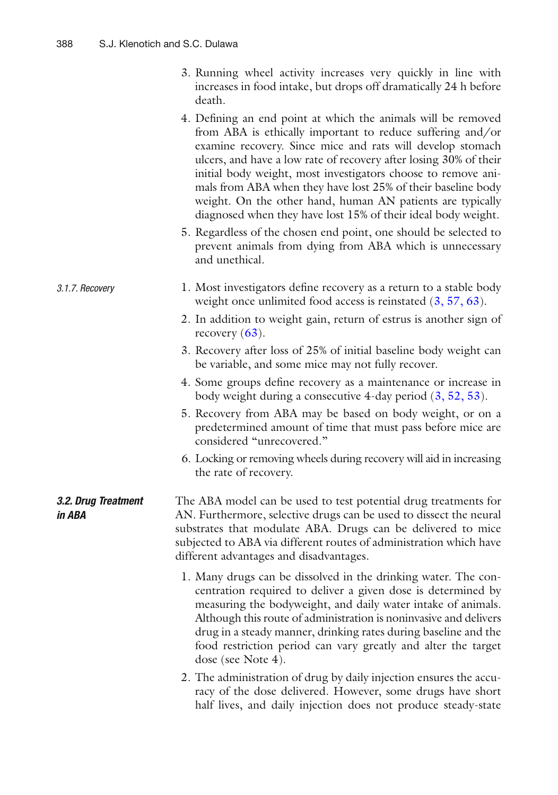<span id="page-11-0"></span>

| 3. Running wheel activity increases very quickly in line with |                                                                  |  |  |  |
|---------------------------------------------------------------|------------------------------------------------------------------|--|--|--|
|                                                               | increases in food intake, but drops off dramatically 24 h before |  |  |  |
| death.                                                        |                                                                  |  |  |  |

4. Defining an end point at which the animals will be removed from ABA is ethically important to reduce suffering and/or examine recovery. Since mice and rats will develop stomach ulcers, and have a low rate of recovery after losing 30% of their initial body weight, most investigators choose to remove animals from ABA when they have lost 25% of their baseline body weight. On the other hand, human AN patients are typically diagnosed when they have lost 15% of their ideal body weight.

 5. Regardless of the chosen end point, one should be selected to prevent animals from dying from ABA which is unnecessary and unethical.

#### 1. Most investigators define recovery as a return to a stable body weight once unlimited food access is reinstated  $(3, 57, 63)$  $(3, 57, 63)$ .  *3.1.7. Recovery*

 2. In addition to weight gain, return of estrus is another sign of recovery  $(63)$ .

- 3. Recovery after loss of 25% of initial baseline body weight can be variable, and some mice may not fully recover.
- 4. Some groups define recovery as a maintenance or increase in body weight during a consecutive 4-day period  $(3, 52, 53)$  $(3, 52, 53)$ .
- 5. Recovery from ABA may be based on body weight, or on a predetermined amount of time that must pass before mice are considered "unrecovered."
- 6. Locking or removing wheels during recovery will aid in increasing the rate of recovery.

#### The ABA model can be used to test potential drug treatments for AN. Furthermore, selective drugs can be used to dissect the neural substrates that modulate ABA. Drugs can be delivered to mice subjected to ABA via different routes of administration which have different advantages and disadvantages.  *3.2. Drug Treatment in ABA*

- 1. Many drugs can be dissolved in the drinking water. The concentration required to deliver a given dose is determined by measuring the bodyweight, and daily water intake of animals. Although this route of administration is noninvasive and delivers drug in a steady manner, drinking rates during baseline and the food restriction period can vary greatly and alter the target dose (see Note 4).
- 2. The administration of drug by daily injection ensures the accuracy of the dose delivered. However, some drugs have short half lives, and daily injection does not produce steady-state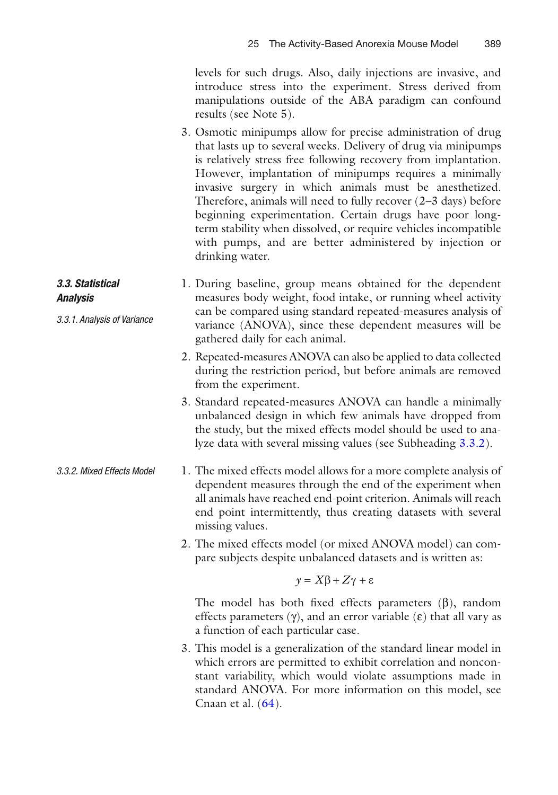levels for such drugs. Also, daily injections are invasive, and introduce stress into the experiment. Stress derived from manipulations outside of the ABA paradigm can confound results (see Note 5).

- 3. Osmotic minipumps allow for precise administration of drug that lasts up to several weeks. Delivery of drug via minipumps is relatively stress free following recovery from implantation. However, implantation of minipumps requires a minimally invasive surgery in which animals must be anesthetized. Therefore, animals will need to fully recover (2–3 days) before beginning experimentation. Certain drugs have poor longterm stability when dissolved, or require vehicles incompatible with pumps, and are better administered by injection or drinking water.
- 1. During baseline, group means obtained for the dependent measures body weight, food intake, or running wheel activity can be compared using standard repeated-measures analysis of variance (ANOVA), since these dependent measures will be gathered daily for each animal.  *3.3. Statistical Analysis 3.3.1. Analysis of Variance*
	- 2. Repeated-measures ANOVA can also be applied to data collected during the restriction period, but before animals are removed from the experiment.
	- 3. Standard repeated-measures ANOVA can handle a minimally unbalanced design in which few animals have dropped from the study, but the mixed effects model should be used to analyze data with several missing values (see Subheading 3.3.2).
- 1. The mixed effects model allows for a more complete analysis of dependent measures through the end of the experiment when all animals have reached end-point criterion. Animals will reach end point intermittently, thus creating datasets with several missing values.  *3.3.2. Mixed Effects Model*
	- 2. The mixed effects model (or mixed ANOVA model) can compare subjects despite unbalanced datasets and is written as:

$$
y = X\beta + Z\gamma + \varepsilon
$$

The model has both fixed effects parameters  $(\beta)$ , random effects parameters  $(\gamma)$ , and an error variable  $(\varepsilon)$  that all vary as a function of each particular case.

 3. This model is a generalization of the standard linear model in which errors are permitted to exhibit correlation and nonconstant variability, which would violate assumptions made in standard ANOVA. For more information on this model, see Cnaan et al.  $(64)$ .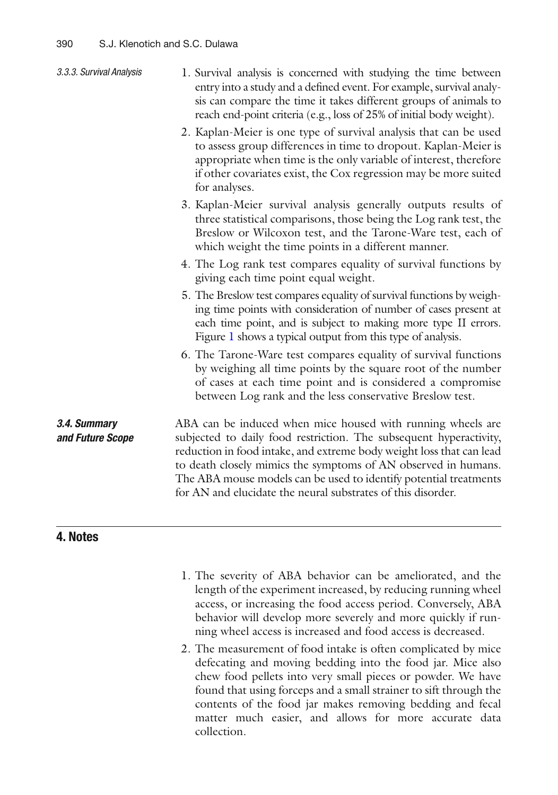| 3.3.3. Survival Analysis         | 1. Survival analysis is concerned with studying the time between<br>entry into a study and a defined event. For example, survival analy-<br>sis can compare the time it takes different groups of animals to<br>reach end-point criteria (e.g., loss of 25% of initial body weight).                                                                                                                             |
|----------------------------------|------------------------------------------------------------------------------------------------------------------------------------------------------------------------------------------------------------------------------------------------------------------------------------------------------------------------------------------------------------------------------------------------------------------|
|                                  | 2. Kaplan-Meier is one type of survival analysis that can be used<br>to assess group differences in time to dropout. Kaplan-Meier is<br>appropriate when time is the only variable of interest, therefore<br>if other covariates exist, the Cox regression may be more suited<br>for analyses.                                                                                                                   |
|                                  | 3. Kaplan-Meier survival analysis generally outputs results of<br>three statistical comparisons, those being the Log rank test, the<br>Breslow or Wilcoxon test, and the Tarone-Ware test, each of<br>which weight the time points in a different manner.                                                                                                                                                        |
|                                  | 4. The Log rank test compares equality of survival functions by<br>giving each time point equal weight.                                                                                                                                                                                                                                                                                                          |
|                                  | 5. The Breslow test compares equality of survival functions by weigh-<br>ing time points with consideration of number of cases present at<br>each time point, and is subject to making more type II errors.<br>Figure 1 shows a typical output from this type of analysis.                                                                                                                                       |
|                                  | 6. The Tarone-Ware test compares equality of survival functions<br>by weighing all time points by the square root of the number<br>of cases at each time point and is considered a compromise<br>between Log rank and the less conservative Breslow test.                                                                                                                                                        |
| 3.4. Summary<br>and Future Scope | ABA can be induced when mice housed with running wheels are<br>subjected to daily food restriction. The subsequent hyperactivity,<br>reduction in food intake, and extreme body weight loss that can lead<br>to death closely mimics the symptoms of AN observed in humans.<br>The ABA mouse models can be used to identify potential treatments<br>for AN and elucidate the neural substrates of this disorder. |
| 4 N.L.                           |                                                                                                                                                                                                                                                                                                                                                                                                                  |

 **4. Notes**

- 1. The severity of ABA behavior can be ameliorated, and the length of the experiment increased, by reducing running wheel access, or increasing the food access period. Conversely, ABA behavior will develop more severely and more quickly if running wheel access is increased and food access is decreased.
- 2. The measurement of food intake is often complicated by mice defecating and moving bedding into the food jar. Mice also chew food pellets into very small pieces or powder. We have found that using forceps and a small strainer to sift through the contents of the food jar makes removing bedding and fecal matter much easier, and allows for more accurate data collection.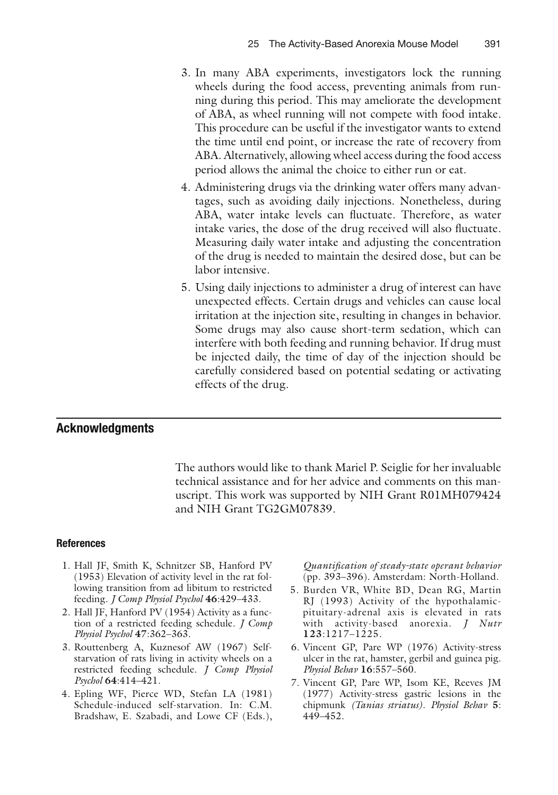- <span id="page-14-0"></span> 3. In many ABA experiments, investigators lock the running wheels during the food access, preventing animals from running during this period. This may ameliorate the development of ABA, as wheel running will not compete with food intake. This procedure can be useful if the investigator wants to extend the time until end point, or increase the rate of recovery from ABA. Alternatively, allowing wheel access during the food access period allows the animal the choice to either run or eat.
- 4. Administering drugs via the drinking water offers many advantages, such as avoiding daily injections. Nonetheless, during ABA, water intake levels can fluctuate. Therefore, as water intake varies, the dose of the drug received will also fluctuate. Measuring daily water intake and adjusting the concentration of the drug is needed to maintain the desired dose, but can be labor intensive.
- 5. Using daily injections to administer a drug of interest can have unexpected effects. Certain drugs and vehicles can cause local irritation at the injection site, resulting in changes in behavior. Some drugs may also cause short-term sedation, which can interfere with both feeding and running behavior. If drug must be injected daily, the time of day of the injection should be carefully considered based on potential sedating or activating effects of the drug.

#### **Acknowledgments**

The authors would like to thank Mariel P. Seiglie for her invaluable technical assistance and for her advice and comments on this manuscript. This work was supported by NIH Grant R01MH079424 and NIH Grant TG2GM07839.

#### **References**

- 1. Hall JF, Smith K, Schnitzer SB, Hanford PV (1953) Elevation of activity level in the rat following transition from ad libitum to restricted feeding. *J Comp Physiol Psychol* **46**:429–433.
- 2. Hall JF, Hanford PV (1954) Activity as a function of a restricted feeding schedule. *J Comp Physiol Psychol* **47**:362–363.
- 3. Routtenberg A, Kuznesof AW (1967) Selfstarvation of rats living in activity wheels on a restricted feeding schedule. *J Comp Physiol Psychol* **64**:414–421.
- 4. Epling WF, Pierce WD, Stefan LA (1981) Schedule-induced self-starvation. In: C.M. Bradshaw, E. Szabadi, and Lowe CF (Eds.),

*Quantifi cation of steady-state operant behavior* (pp. 393–396). Amsterdam: North-Holland.

- 5. Burden VR, White BD, Dean RG, Martin RJ (1993) Activity of the hypothalamicpituitary-adrenal axis is elevated in rats with activity-based anorexia. *J Nutr* **123**:1217–1225.
- 6. Vincent GP, Pare WP (1976) Activity-stress ulcer in the rat, hamster, gerbil and guinea pig. *Physiol Behav* **16**:557–560.
- 7. Vincent GP, Pare WP, Isom KE, Reeves JM (1977) Activity-stress gastric lesions in the chipmunk *(Tanias striatus)*. *Physiol Behav* **5**: 449–452.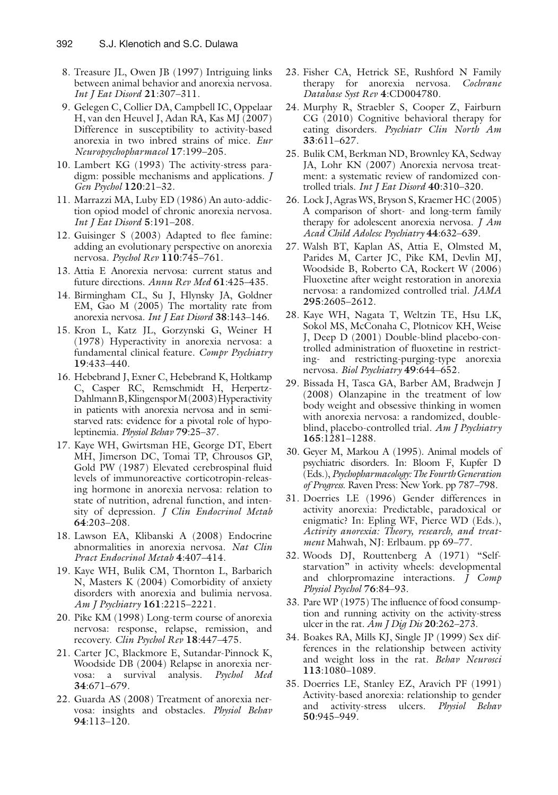- <span id="page-15-0"></span> 8. Treasure JL, Owen JB (1997) Intriguing links between animal behavior and anorexia nervosa. *Int J Eat Disord* **21**:307–311.
- 9. Gelegen C, Collier DA, Campbell IC, Oppelaar H, van den Heuvel J, Adan RA, Kas MJ (2007) Difference in susceptibility to activity-based anorexia in two inbred strains of mice. *Eur Neuropsychopharmacol* **17**:199–205.
- 10. Lambert KG (1993) The activity-stress paradigm: possible mechanisms and applications. *J Gen Psychol* **120**:21–32.
- 11. Marrazzi MA, Luby ED (1986) An auto-addiction opiod model of chronic anorexia nervosa. *Int J Eat Disord* **5**:191–208.
- 12. Guisinger S (2003) Adapted to flee famine: adding an evolutionary perspective on anorexia nervosa. *Psychol Rev* **110**:745–761.
- 13. Attia E Anorexia nervosa: current status and future directions. *Annu Rev Med* **61**:425–435.
- 14. Birmingham CL, Su J, Hlynsky JA, Goldner EM, Gao M (2005) The mortality rate from anorexia nervosa. *Int J Eat Disord* **38**:143–146.
- 15. Kron L, Katz JL, Gorzynski G, Weiner H (1978) Hyperactivity in anorexia nervosa: a fundamental clinical feature. *Compr Psychiatry* **19**:433–440.
- 16. Hebebrand J, Exner C, Hebebrand K, Holtkamp C, Casper RC, Remschmidt H, Herpertz-Dahlmann B, Klingenspor M (2003) Hyperactivity in patients with anorexia nervosa and in semistarved rats: evidence for a pivotal role of hypoleptinemia. *Physiol Behav* **79**:25–37.
- 17. Kaye WH, Gwirtsman HE, George DT, Ebert MH, Jimerson DC, Tomai TP, Chrousos GP, Gold PW (1987) Elevated cerebrospinal fluid levels of immunoreactive corticotropin-releasing hormone in anorexia nervosa: relation to state of nutrition, adrenal function, and intensity of depression. *J Clin Endocrinol Metab* **64**:203–208.
- 18. Lawson EA, Klibanski A (2008) Endocrine abnormalities in anorexia nervosa. *Nat Clin Pract Endocrinol Metab* **4**:407–414.
- 19. Kaye WH, Bulik CM, Thornton L, Barbarich N, Masters K (2004) Comorbidity of anxiety disorders with anorexia and bulimia nervosa. *Am J Psychiatry* **161**:2215–2221.
- 20. Pike KM (1998) Long-term course of anorexia nervosa: response, relapse, remission, and recovery. *Clin Psychol Rev* **18**:447–475.
- 21. Carter JC, Blackmore E, Sutandar-Pinnock K, Woodside DB (2004) Relapse in anorexia nervosa: a survival analysis. *Psychol Med* **34**:671–679.
- 22. Guarda AS (2008) Treatment of anorexia nervosa: insights and obstacles. *Physiol Behav* **94**:113–120.
- 23. Fisher CA, Hetrick SE, Rushford N Family therapy for anorexia nervosa. *Cochrane Database Syst Rev* **4**:CD004780.
- 24. Murphy R, Straebler S, Cooper Z, Fairburn CG (2010) Cognitive behavioral therapy for eating disorders. *Psychiatr Clin North Am* **33**:611–627.
- 25. Bulik CM, Berkman ND, Brownley KA, Sedway JA, Lohr KN (2007) Anorexia nervosa treatment: a systematic review of randomized controlled trials. *Int J Eat Disord* **40**:310–320.
- 26. Lock J, Agras WS, Bryson S, Kraemer HC (2005) A comparison of short- and long-term family therapy for adolescent anorexia nervosa. *J Am Acad Child Adolesc Psychiatry* **44**:632–639.
- 27. Walsh BT, Kaplan AS, Attia E, Olmsted M, Parides M, Carter JC, Pike KM, Devlin MJ, Woodside B, Roberto CA, Rockert W (2006) Fluoxetine after weight restoration in anorexia nervosa: a randomized controlled trial. *JAMA* **295**:2605–2612.
- 28. Kaye WH, Nagata T, Weltzin TE, Hsu LK, Sokol MS, McConaha C, Plotnicov KH, Weise J, Deep D (2001) Double-blind placebo-controlled administration of fluoxetine in restricting- and restricting-purging-type anorexia nervosa. *Biol Psychiatry* **49**:644–652.
- 29. Bissada H, Tasca GA, Barber AM, Bradwejn J (2008) Olanzapine in the treatment of low body weight and obsessive thinking in women with anorexia nervosa: a randomized, doubleblind, placebo-controlled trial. *Am J Psychiatry* **165**:1281–1288.
- 30. Geyer M, Markou A (1995). Animal models of psychiatric disorders. In: Bloom F, Kupfer D (Eds.), *Psychopharmacology: The Fourth Generation of Progress*. Raven Press: New York. pp 787–798.
- 31. Doerries LE (1996) Gender differences in activity anorexia: Predictable, paradoxical or enigmatic? In: Epling WF, Pierce WD (Eds.), *Activity anorexia: Theory, research, and treatment* Mahwah, NJ: Erlbaum. pp 69–77.
- 32. Woods DJ, Routtenberg A (1971) "Selfstarvation" in activity wheels: developmental and chlorpromazine interactions. *J Comp Physiol Psychol* **76**:84–93.
- 33. Pare WP (1975) The influence of food consumption and running activity on the activity-stress ulcer in the rat *. Am J Dig Dis* **20**:262–273.
- 34. Boakes RA, Mills KJ, Single JP (1999) Sex differences in the relationship between activity and weight loss in the rat. *Behav Neurosci* **113**:1080–1089.
- 35. Doerries LE, Stanley EZ, Aravich PF (1991) Activity-based anorexia: relationship to gender and activity-stress ulcers. *Physiol Behav* **50**:945–949.